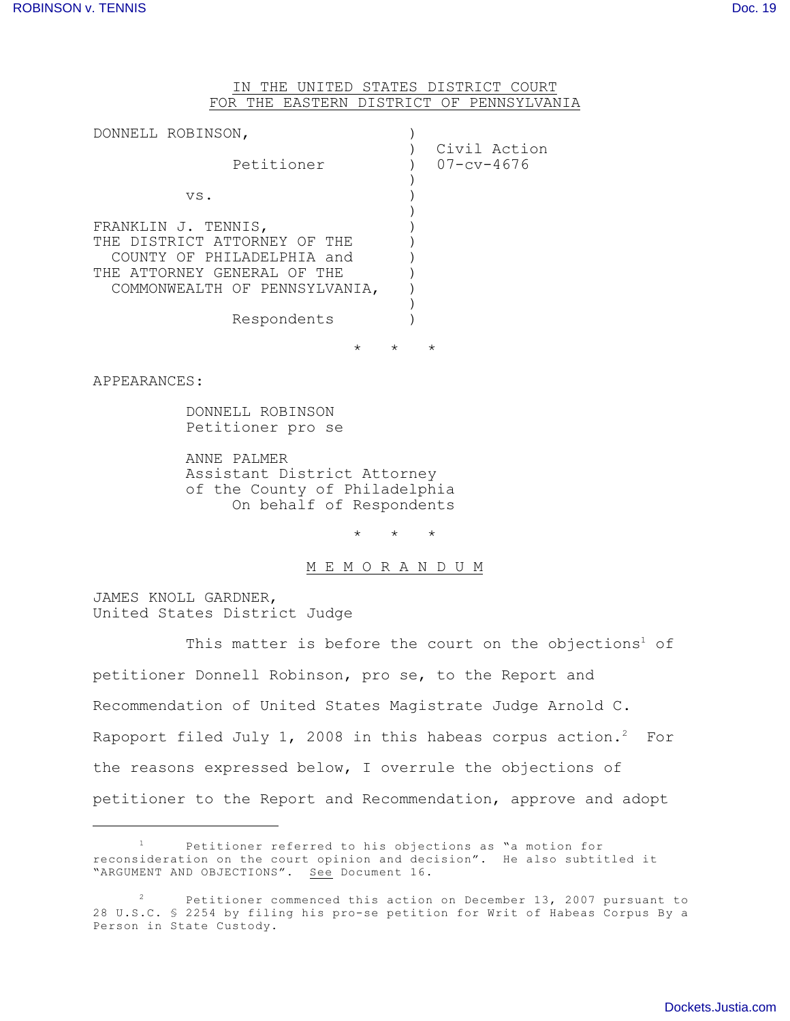## IN THE UNITED STATES DISTRICT COURT FOR THE EASTERN DISTRICT OF PENNSYLVANIA

| DONNELL ROBINSON,                                                                                                                                 |                                  |
|---------------------------------------------------------------------------------------------------------------------------------------------------|----------------------------------|
| Petitioner                                                                                                                                        | Civil Action<br>$07 - cv - 4676$ |
| VS.                                                                                                                                               |                                  |
| FRANKLIN J. TENNIS,<br>THE DISTRICT ATTORNEY OF THE<br>COUNTY OF PHILADELPHIA and<br>THE ATTORNEY GENERAL OF THE<br>COMMONWEALTH OF PENNSYLVANIA, |                                  |
| Respondents                                                                                                                                       |                                  |

\* \* \*

APPEARANCES:

DONNELL ROBINSON Petitioner pro se

ANNE PALMER Assistant District Attorney of the County of Philadelphia On behalf of Respondents

 $\star$   $\qquad$   $\star$   $\qquad$   $\star$ 

## M E M O R A N D U M

JAMES KNOLL GARDNER, United States District Judge

This matter is before the court on the objections<sup>1</sup> of petitioner Donnell Robinson, pro se, to the Report and Recommendation of United States Magistrate Judge Arnold C. Rapoport filed July 1, 2008 in this habeas corpus action.<sup>2</sup> For the reasons expressed below, I overrule the objections of petitioner to the Report and Recommendation, approve and adopt

Petitioner referred to his objections as "a motion for 1 reconsideration on the court opinion and decision". He also subtitled it "ARGUMENT AND OBJECTIONS". See Document 16.

Petitioner commenced this action on December 13, 2007 pursuant to 2 28 U.S.C. § 2254 by filing his pro-se petition for Writ of Habeas Corpus By a Person in State Custody.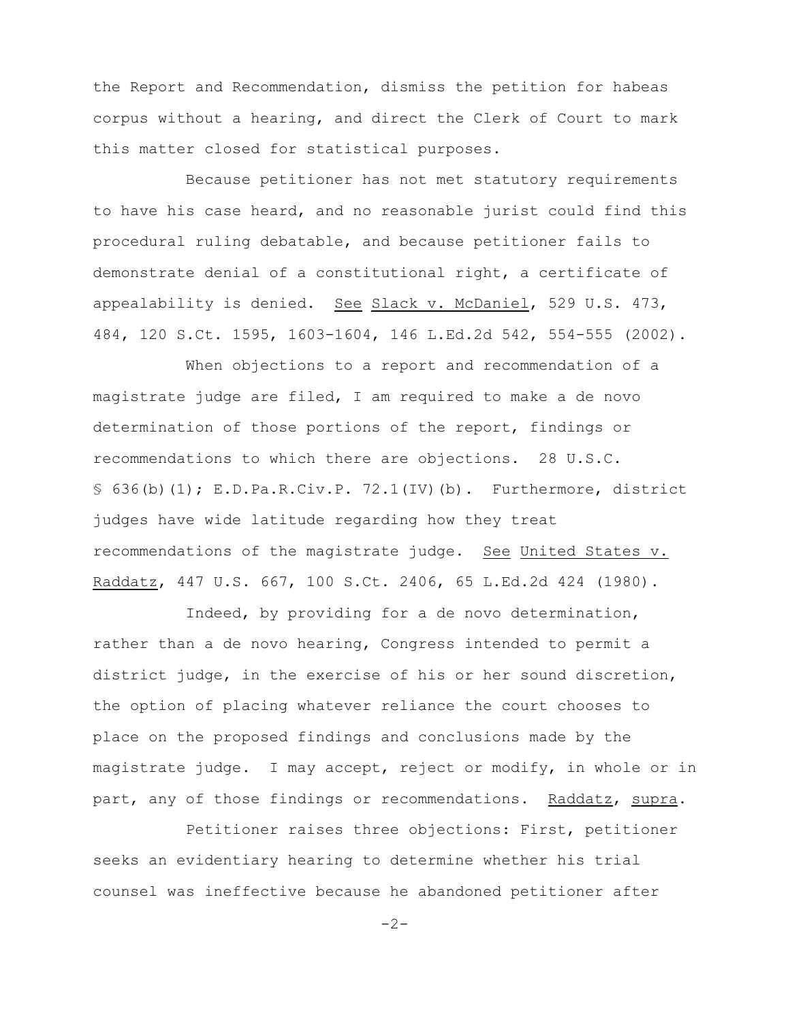the Report and Recommendation, dismiss the petition for habeas corpus without a hearing, and direct the Clerk of Court to mark this matter closed for statistical purposes.

Because petitioner has not met statutory requirements to have his case heard, and no reasonable jurist could find this procedural ruling debatable, and because petitioner fails to demonstrate denial of a constitutional right, a certificate of appealability is denied. See Slack v. McDaniel, 529 U.S. 473, 484, 120 S.Ct. 1595, 1603-1604, 146 L.Ed.2d 542, 554-555 (2002).

When objections to a report and recommendation of a magistrate judge are filed, I am required to make a de novo determination of those portions of the report, findings or recommendations to which there are objections. 28 U.S.C. § 636(b)(1); E.D.Pa.R.Civ.P. 72.1(IV)(b). Furthermore, district judges have wide latitude regarding how they treat recommendations of the magistrate judge. See United States v. Raddatz, 447 U.S. 667, 100 S.Ct. 2406, 65 L.Ed.2d 424 (1980).

Indeed, by providing for a de novo determination, rather than a de novo hearing, Congress intended to permit a district judge, in the exercise of his or her sound discretion, the option of placing whatever reliance the court chooses to place on the proposed findings and conclusions made by the magistrate judge. I may accept, reject or modify, in whole or in part, any of those findings or recommendations. Raddatz, supra.

Petitioner raises three objections: First, petitioner seeks an evidentiary hearing to determine whether his trial counsel was ineffective because he abandoned petitioner after

 $-2-$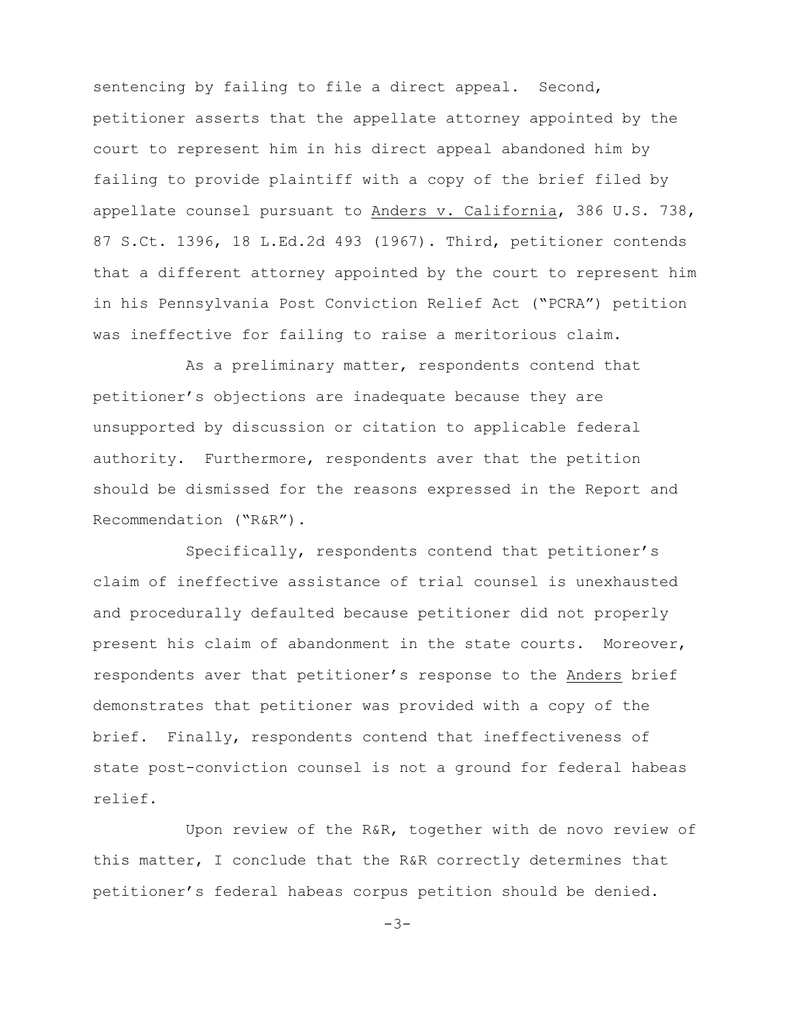sentencing by failing to file a direct appeal. Second, petitioner asserts that the appellate attorney appointed by the court to represent him in his direct appeal abandoned him by failing to provide plaintiff with a copy of the brief filed by appellate counsel pursuant to Anders v. California, 386 U.S. 738, 87 S.Ct. 1396, 18 L.Ed.2d 493 (1967). Third, petitioner contends that a different attorney appointed by the court to represent him in his Pennsylvania Post Conviction Relief Act ("PCRA") petition was ineffective for failing to raise a meritorious claim.

As a preliminary matter, respondents contend that petitioner's objections are inadequate because they are unsupported by discussion or citation to applicable federal authority. Furthermore, respondents aver that the petition should be dismissed for the reasons expressed in the Report and Recommendation ("R&R").

Specifically, respondents contend that petitioner's claim of ineffective assistance of trial counsel is unexhausted and procedurally defaulted because petitioner did not properly present his claim of abandonment in the state courts. Moreover, respondents aver that petitioner's response to the Anders brief demonstrates that petitioner was provided with a copy of the brief. Finally, respondents contend that ineffectiveness of state post-conviction counsel is not a ground for federal habeas relief.

Upon review of the R&R, together with de novo review of this matter, I conclude that the R&R correctly determines that petitioner's federal habeas corpus petition should be denied.

 $-3-$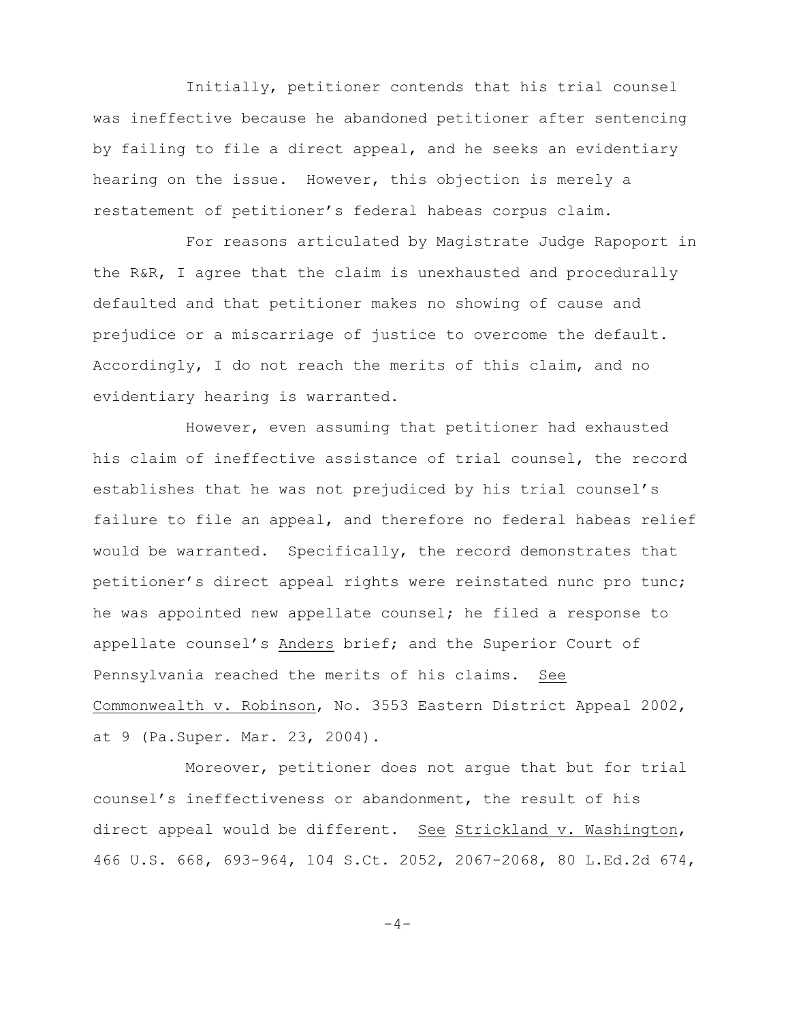Initially, petitioner contends that his trial counsel was ineffective because he abandoned petitioner after sentencing by failing to file a direct appeal, and he seeks an evidentiary hearing on the issue. However, this objection is merely a restatement of petitioner's federal habeas corpus claim.

For reasons articulated by Magistrate Judge Rapoport in the R&R, I agree that the claim is unexhausted and procedurally defaulted and that petitioner makes no showing of cause and prejudice or a miscarriage of justice to overcome the default. Accordingly, I do not reach the merits of this claim, and no evidentiary hearing is warranted.

However, even assuming that petitioner had exhausted his claim of ineffective assistance of trial counsel, the record establishes that he was not prejudiced by his trial counsel's failure to file an appeal, and therefore no federal habeas relief would be warranted. Specifically, the record demonstrates that petitioner's direct appeal rights were reinstated nunc pro tunc; he was appointed new appellate counsel; he filed a response to appellate counsel's Anders brief; and the Superior Court of Pennsylvania reached the merits of his claims. See Commonwealth v. Robinson, No. 3553 Eastern District Appeal 2002, at 9 (Pa.Super. Mar. 23, 2004).

Moreover, petitioner does not argue that but for trial counsel's ineffectiveness or abandonment, the result of his direct appeal would be different. See Strickland v. Washington, 466 U.S. 668, 693-964, 104 S.Ct. 2052, 2067-2068, 80 L.Ed.2d 674,

 $-4-$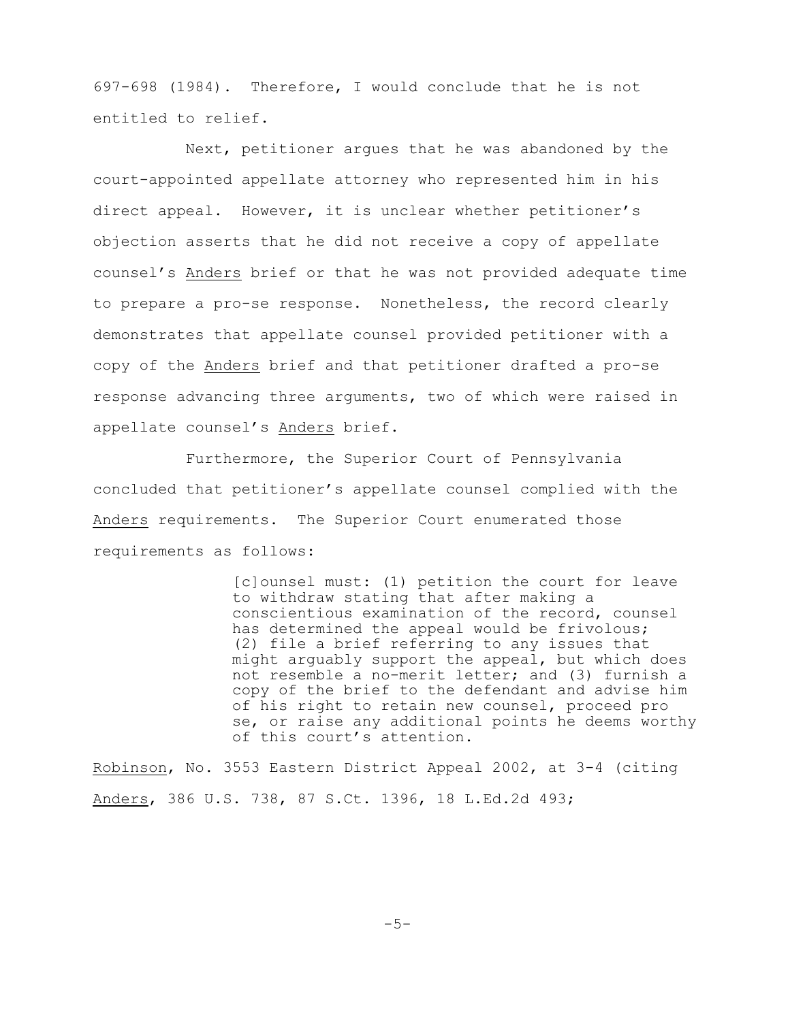697-698 (1984). Therefore, I would conclude that he is not entitled to relief.

Next, petitioner argues that he was abandoned by the court-appointed appellate attorney who represented him in his direct appeal. However, it is unclear whether petitioner's objection asserts that he did not receive a copy of appellate counsel's Anders brief or that he was not provided adequate time to prepare a pro-se response. Nonetheless, the record clearly demonstrates that appellate counsel provided petitioner with a copy of the Anders brief and that petitioner drafted a pro-se response advancing three arguments, two of which were raised in appellate counsel's Anders brief.

Furthermore, the Superior Court of Pennsylvania concluded that petitioner's appellate counsel complied with the Anders requirements. The Superior Court enumerated those requirements as follows:

> [c]ounsel must: (1) petition the court for leave to withdraw stating that after making a conscientious examination of the record, counsel has determined the appeal would be frivolous; (2) file a brief referring to any issues that might arguably support the appeal, but which does not resemble a no-merit letter; and (3) furnish a copy of the brief to the defendant and advise him of his right to retain new counsel, proceed pro se, or raise any additional points he deems worthy of this court's attention.

Robinson, No. 3553 Eastern District Appeal 2002, at 3-4 (citing Anders, 386 U.S. 738, 87 S.Ct. 1396, 18 L.Ed.2d 493;

 $-5-$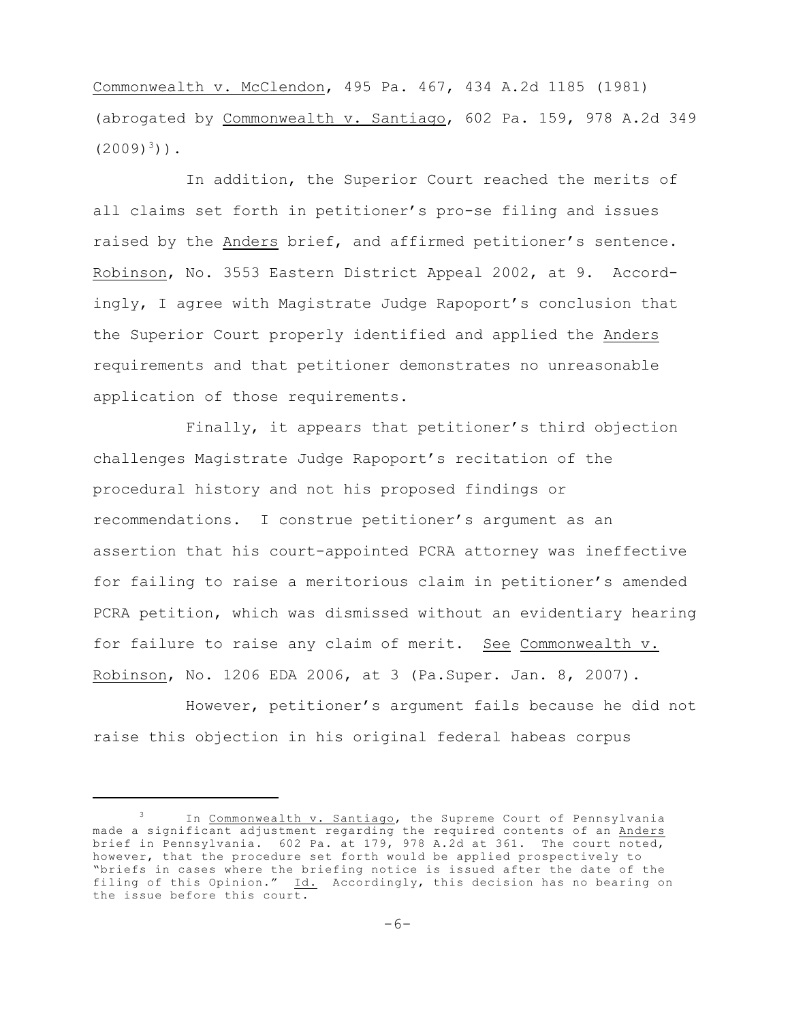Commonwealth v. McClendon, 495 Pa. 467, 434 A.2d 1185 (1981) (abrogated by Commonwealth v. Santiago, 602 Pa. 159, 978 A.2d 349  $(2009)^{3})$ ).

In addition, the Superior Court reached the merits of all claims set forth in petitioner's pro-se filing and issues raised by the Anders brief, and affirmed petitioner's sentence. Robinson, No. 3553 Eastern District Appeal 2002, at 9. Accordingly, I agree with Magistrate Judge Rapoport's conclusion that the Superior Court properly identified and applied the Anders requirements and that petitioner demonstrates no unreasonable application of those requirements.

Finally, it appears that petitioner's third objection challenges Magistrate Judge Rapoport's recitation of the procedural history and not his proposed findings or recommendations. I construe petitioner's argument as an assertion that his court-appointed PCRA attorney was ineffective for failing to raise a meritorious claim in petitioner's amended PCRA petition, which was dismissed without an evidentiary hearing for failure to raise any claim of merit. See Commonwealth v. Robinson, No. 1206 EDA 2006, at 3 (Pa.Super. Jan. 8, 2007).

However, petitioner's argument fails because he did not raise this objection in his original federal habeas corpus

 $\frac{3}{1}$  In Commonwealth v. Santiago, the Supreme Court of Pennsylvania made a significant adjustment regarding the required contents of an Anders brief in Pennsylvania. 602 Pa. at 179, 978 A.2d at 361. The court noted, however, that the procedure set forth would be applied prospectively to "briefs in cases where the briefing notice is issued after the date of the filing of this Opinion." Id. Accordingly, this decision has no bearing on the issue before this court.